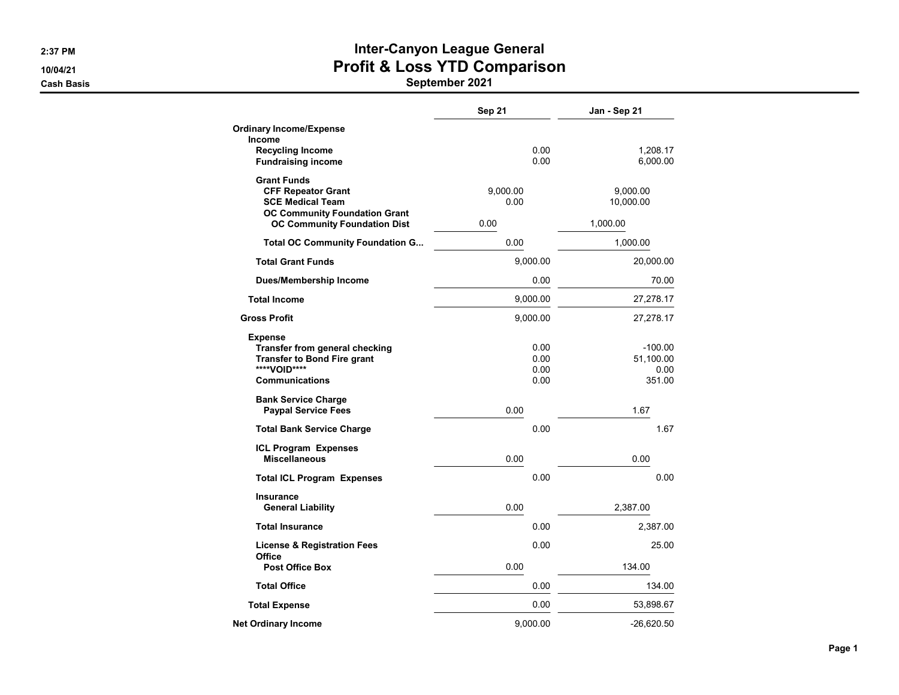# 2:37 PM **Inter-Canyon League General** 10/04/21 **Profit & Loss YTD Comparison**

|                                                                                                                                 | Sep 21                       | Jan - Sep 21                             |
|---------------------------------------------------------------------------------------------------------------------------------|------------------------------|------------------------------------------|
| <b>Ordinary Income/Expense</b><br>Income                                                                                        |                              |                                          |
| <b>Recycling Income</b><br><b>Fundraising income</b>                                                                            | 0.00<br>0.00                 | 1,208.17<br>6,000.00                     |
| <b>Grant Funds</b><br><b>CFF Repeator Grant</b><br><b>SCE Medical Team</b><br><b>OC Community Foundation Grant</b>              | 9,000.00<br>0.00             | 9,000.00<br>10,000.00                    |
| <b>OC Community Foundation Dist</b>                                                                                             | 0.00                         | 1,000.00                                 |
| <b>Total OC Community Foundation G</b>                                                                                          | 0.00                         | 1,000.00                                 |
| <b>Total Grant Funds</b>                                                                                                        | 9,000.00                     | 20,000.00                                |
| <b>Dues/Membership Income</b>                                                                                                   | 0.00                         | 70.00                                    |
| <b>Total Income</b>                                                                                                             | 9,000.00                     | 27,278.17                                |
| <b>Gross Profit</b>                                                                                                             | 9,000.00                     | 27,278.17                                |
| <b>Expense</b><br>Transfer from general checking<br><b>Transfer to Bond Fire grant</b><br>****VOID****<br><b>Communications</b> | 0.00<br>0.00<br>0.00<br>0.00 | $-100.00$<br>51.100.00<br>0.00<br>351.00 |
| <b>Bank Service Charge</b><br><b>Paypal Service Fees</b>                                                                        | 0.00                         | 1.67                                     |
| <b>Total Bank Service Charge</b>                                                                                                | 0.00                         | 1.67                                     |
| <b>ICL Program Expenses</b><br><b>Miscellaneous</b>                                                                             | 0.00                         | 0.00                                     |
| <b>Total ICL Program Expenses</b>                                                                                               | 0.00                         | 0.00                                     |
| <b>Insurance</b><br><b>General Liability</b>                                                                                    | 0.00                         | 2,387.00                                 |
| <b>Total Insurance</b>                                                                                                          | 0.00                         | 2,387.00                                 |
| <b>License &amp; Registration Fees</b><br>Office<br><b>Post Office Box</b>                                                      | 0.00<br>0.00                 | 25.00<br>134.00                          |
| <b>Total Office</b>                                                                                                             | 0.00                         | 134.00                                   |
|                                                                                                                                 | 0.00                         |                                          |
| <b>Total Expense</b>                                                                                                            |                              | 53,898.67                                |
| Net Ordinary Income                                                                                                             | 9,000.00                     | $-26,620.50$                             |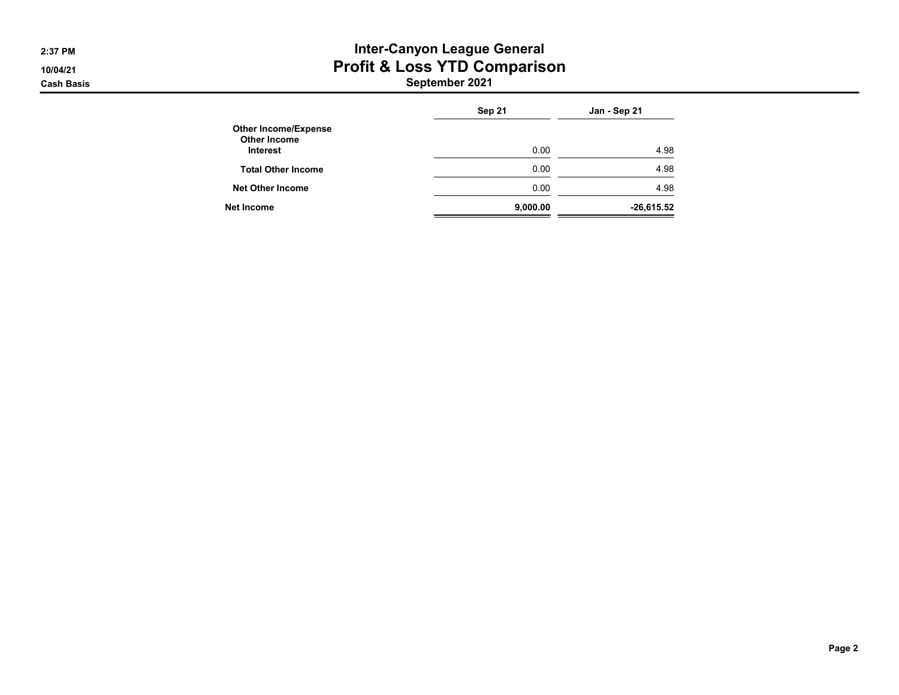## 2:37 PM **Inter-Canyon League General** 10/04/21 **Profit & Loss YTD Comparison**

|                                                                       | Sep 21   | Jan - Sep 21 |
|-----------------------------------------------------------------------|----------|--------------|
| <b>Other Income/Expense</b><br><b>Other Income</b><br><b>Interest</b> | 0.00     | 4.98         |
| <b>Total Other Income</b>                                             | 0.00     | 4.98         |
| <b>Net Other Income</b>                                               | 0.00     | 4.98         |
| Net Income                                                            | 9,000.00 | $-26,615.52$ |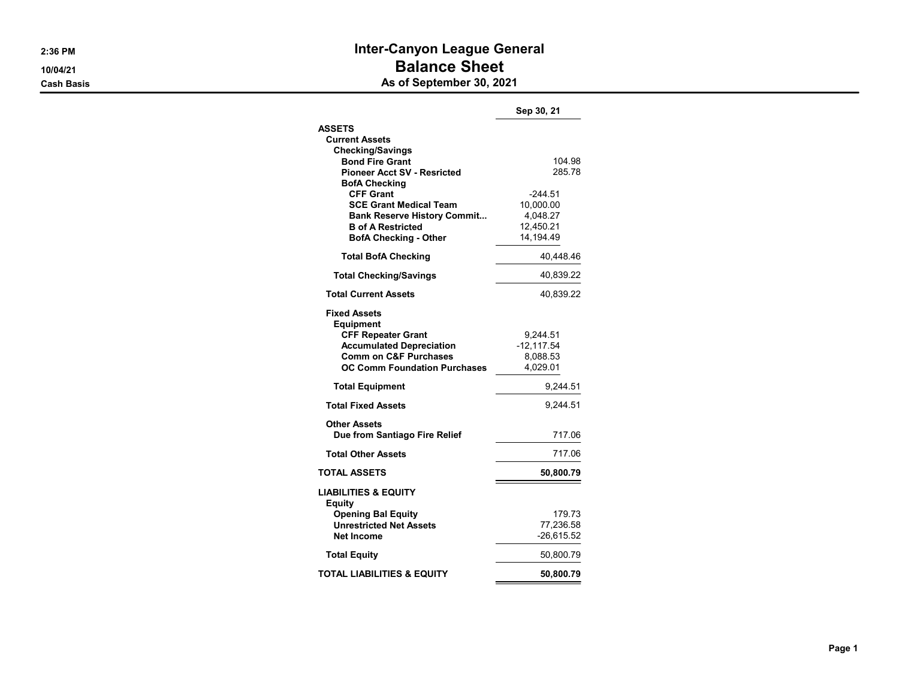### 2:36 PM **Inter-Canyon League General** 10/04/21 **Balance Sheet Cash Basis** Cash Basis **As of September 30, 2021**

|                                                      | Sep 30, 21    |
|------------------------------------------------------|---------------|
| <b>ASSETS</b>                                        |               |
| <b>Current Assets</b>                                |               |
| <b>Checking/Savings</b>                              |               |
| <b>Bond Fire Grant</b>                               | 104.98        |
| <b>Pioneer Acct SV - Resricted</b>                   | 285.78        |
| <b>BofA Checking</b><br><b>CFF Grant</b>             | -244.51       |
| <b>SCE Grant Medical Team</b>                        | 10,000.00     |
| <b>Bank Reserve History Commit</b>                   | 4,048.27      |
| <b>B</b> of A Restricted                             | 12,450.21     |
| <b>BofA Checking - Other</b>                         | 14,194.49     |
| <b>Total BofA Checking</b>                           | 40,448.46     |
| <b>Total Checking/Savings</b>                        | 40,839.22     |
| <b>Total Current Assets</b>                          | 40,839.22     |
| <b>Fixed Assets</b>                                  |               |
| <b>Equipment</b>                                     |               |
| <b>CFF Repeater Grant</b>                            | 9,244.51      |
| <b>Accumulated Depreciation</b>                      | $-12, 117.54$ |
| <b>Comm on C&amp;F Purchases</b>                     | 8,088.53      |
| <b>OC Comm Foundation Purchases</b>                  | 4,029.01      |
| <b>Total Equipment</b>                               | 9,244.51      |
| <b>Total Fixed Assets</b>                            | 9.244.51      |
| <b>Other Assets</b><br>Due from Santiago Fire Relief | 717.06        |
| <b>Total Other Assets</b>                            | 717.06        |
| <b>TOTAL ASSETS</b>                                  | 50,800.79     |
|                                                      |               |
| <b>LIABILITIES &amp; EQUITY</b><br>Equity            |               |
| <b>Opening Bal Equity</b>                            | 179.73        |
| <b>Unrestricted Net Assets</b>                       | 77,236.58     |
| <b>Net Income</b>                                    | $-26,615.52$  |
| <b>Total Equity</b>                                  | 50,800.79     |
| TOTAL LIABILITIES & EQUITY                           | 50,800.79     |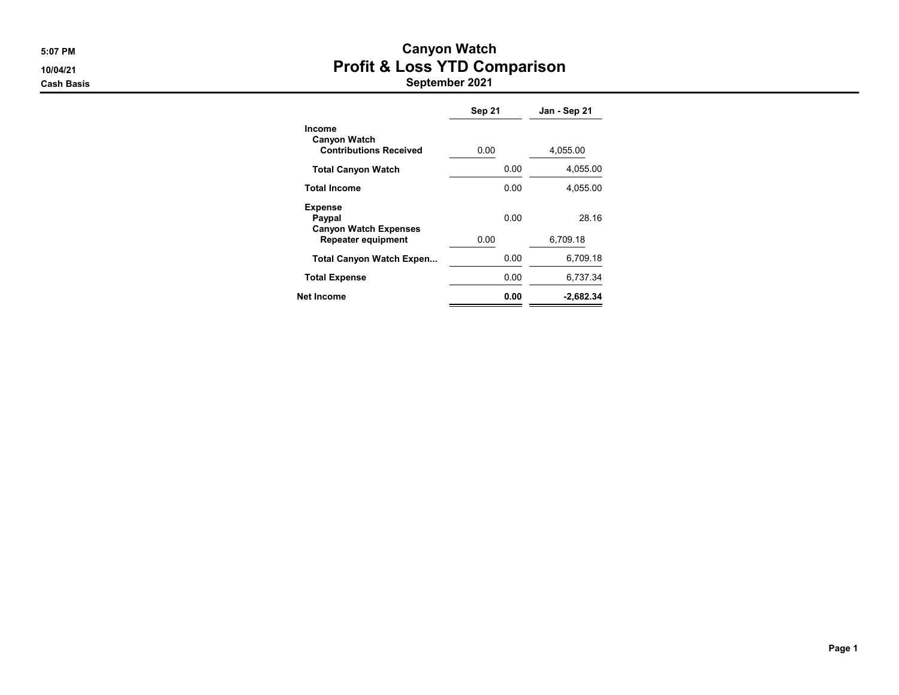## 5:07 PM Canyon Watch 10/04/21 **Profit & Loss YTD Comparison**

|                                                                       | Sep 21 | Jan - Sep 21 |
|-----------------------------------------------------------------------|--------|--------------|
| <b>Income</b><br><b>Canyon Watch</b><br><b>Contributions Received</b> | 0.00   | 4,055.00     |
| <b>Total Canyon Watch</b>                                             | 0.00   | 4,055.00     |
| <b>Total Income</b>                                                   | 0.00   | 4.055.00     |
| <b>Expense</b><br>Paypal<br><b>Canyon Watch Expenses</b>              | 0.00   | 28.16        |
| Repeater equipment                                                    | 0.00   | 6,709.18     |
| <b>Total Canyon Watch Expen</b>                                       | 0.00   | 6.709.18     |
| <b>Total Expense</b>                                                  | 0.00   | 6,737.34     |
| Net Income                                                            | 0.00   | $-2.682.34$  |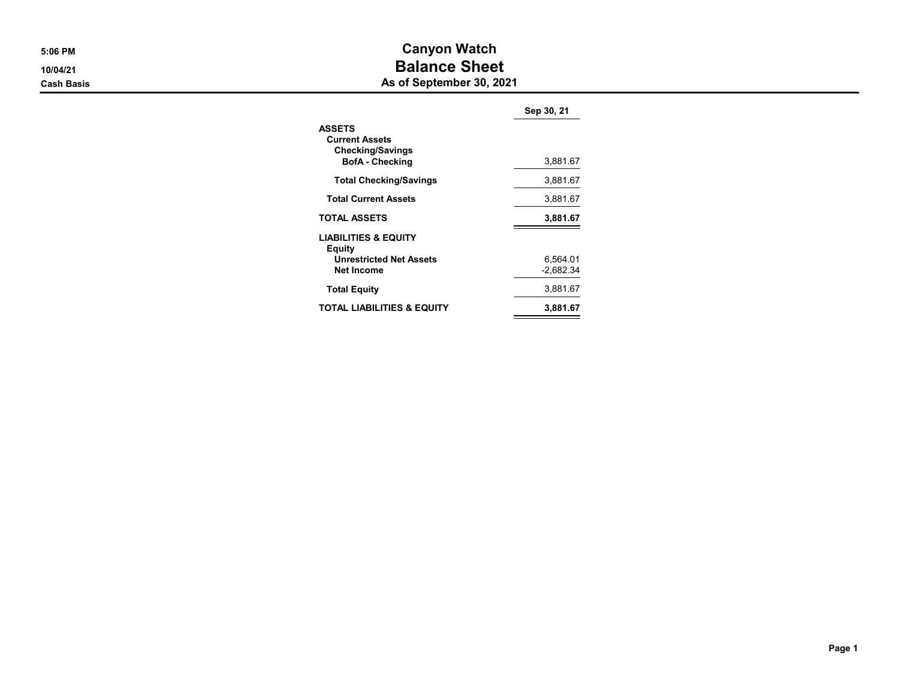# 5:06 PM Canyon Watch 10/04/21 10/04/21

**Cash Basis** Cash Basis **As of September 30, 2021** 

|                                                                                                  | Sep 30, 21              |
|--------------------------------------------------------------------------------------------------|-------------------------|
| <b>ASSETS</b><br><b>Current Assets</b><br><b>Checking/Savings</b><br><b>BofA</b> - Checking      | 3,881.67                |
| <b>Total Checking/Savings</b>                                                                    | 3,881.67                |
| <b>Total Current Assets</b>                                                                      | 3,881.67                |
| <b>TOTAL ASSETS</b>                                                                              | 3,881.67                |
| <b>LIABILITIES &amp; EQUITY</b><br>Equity<br><b>Unrestricted Net Assets</b><br><b>Net Income</b> | 6,564.01<br>$-2,682.34$ |
| <b>Total Equity</b>                                                                              | 3,881.67                |
| TOTAL LIABILITIES & EQUITY                                                                       | 3.881.67                |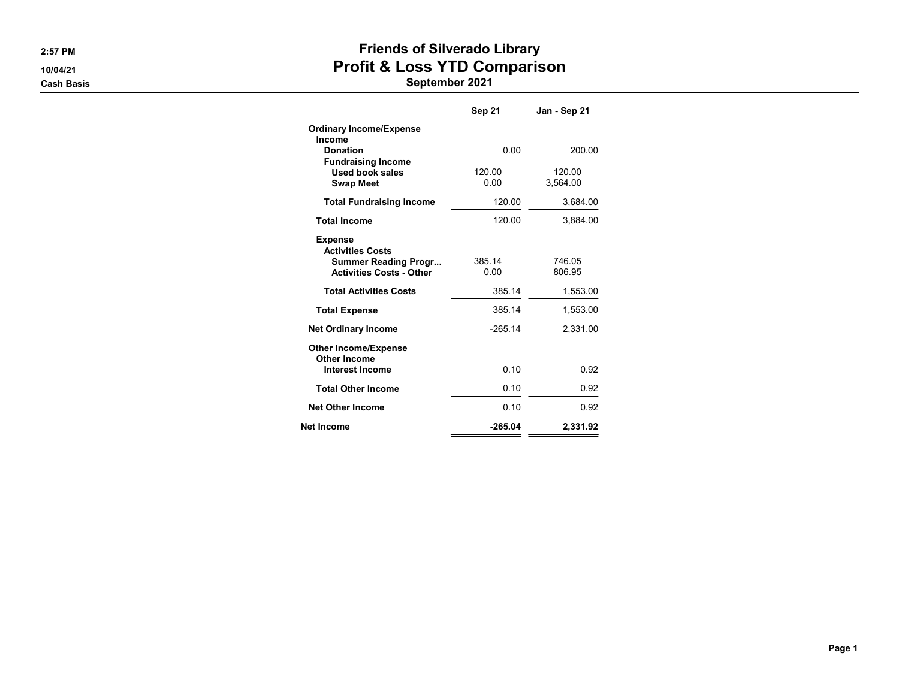# 2:57 PM **EXECUTE:** 2:57 PM 10/04/21 **Profit & Loss YTD Comparison**

|                                                                                                             | Sep 21         | Jan - Sep 21       |
|-------------------------------------------------------------------------------------------------------------|----------------|--------------------|
| <b>Ordinary Income/Expense</b><br>Income                                                                    |                |                    |
| <b>Donation</b><br><b>Fundraising Income</b>                                                                | 0.00           | 200.00             |
| Used book sales<br><b>Swap Meet</b>                                                                         | 120.00<br>0.00 | 120.00<br>3,564.00 |
| <b>Total Fundraising Income</b>                                                                             | 120.00         | 3,684.00           |
| <b>Total Income</b>                                                                                         | 120.00         | 3,884.00           |
| <b>Expense</b><br><b>Activities Costs</b><br><b>Summer Reading Progr</b><br><b>Activities Costs - Other</b> | 385 14<br>0.00 | 746.05<br>806.95   |
| <b>Total Activities Costs</b>                                                                               | 385.14         | 1,553.00           |
| <b>Total Expense</b>                                                                                        | 385.14         | 1,553.00           |
| <b>Net Ordinary Income</b>                                                                                  | $-265.14$      | 2,331.00           |
| <b>Other Income/Expense</b><br>Other Income<br><b>Interest Income</b>                                       | 0.10           | 0.92               |
| <b>Total Other Income</b>                                                                                   | 0.10           | 0.92               |
| <b>Net Other Income</b>                                                                                     | 0.10           | 0.92               |
| Net Income                                                                                                  | $-265.04$      | 2,331.92           |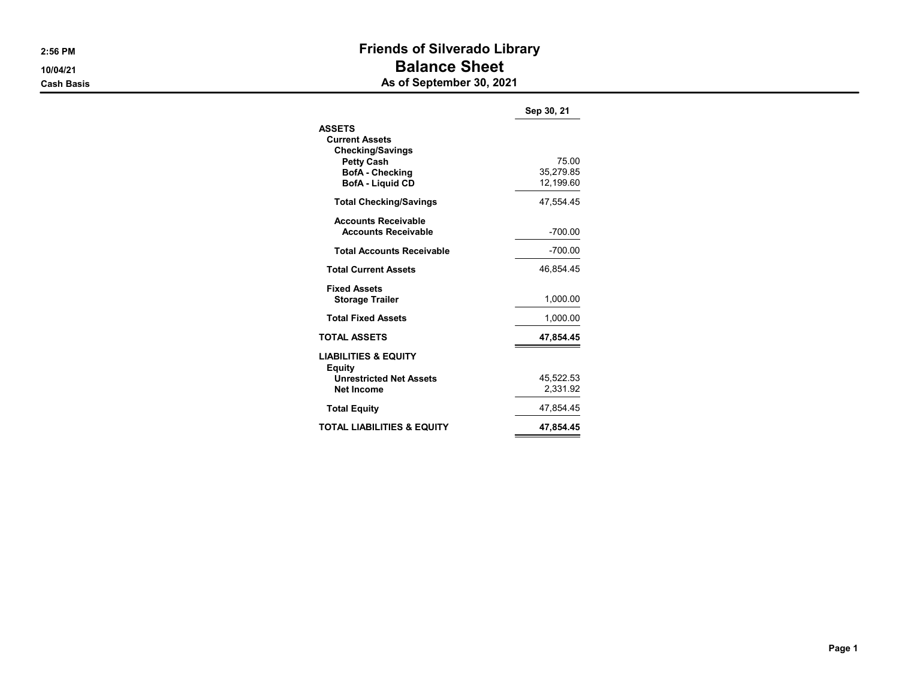### 2:56 PM **PM** 2:56 PM 10/04/21 **Balance Sheet Cash Basis** Cash Basis **As of September 30, 2021**

|                                                                                                                                             | Sep 30, 21                      |
|---------------------------------------------------------------------------------------------------------------------------------------------|---------------------------------|
| <b>ASSETS</b><br><b>Current Assets</b><br><b>Checking/Savings</b><br><b>Petty Cash</b><br><b>BofA</b> - Checking<br><b>BofA - Liguid CD</b> | 75.00<br>35.279.85<br>12.199.60 |
| <b>Total Checking/Savings</b>                                                                                                               | 47,554.45                       |
| <b>Accounts Receivable</b><br><b>Accounts Receivable</b>                                                                                    | $-700.00$                       |
| <b>Total Accounts Receivable</b>                                                                                                            | -700.00                         |
| <b>Total Current Assets</b>                                                                                                                 | 46.854.45                       |
| <b>Fixed Assets</b><br><b>Storage Trailer</b>                                                                                               | 1.000.00                        |
| <b>Total Fixed Assets</b>                                                                                                                   | 1,000.00                        |
| <b>TOTAL ASSETS</b>                                                                                                                         | 47,854.45                       |
| <b>LIABILITIES &amp; EQUITY</b><br>Equity<br><b>Unrestricted Net Assets</b><br>Net Income                                                   | 45,522.53<br>2,331.92           |
| <b>Total Equity</b>                                                                                                                         | 47,854.45                       |
| TOTAL LIABILITIES & EQUITY                                                                                                                  | 47,854.45                       |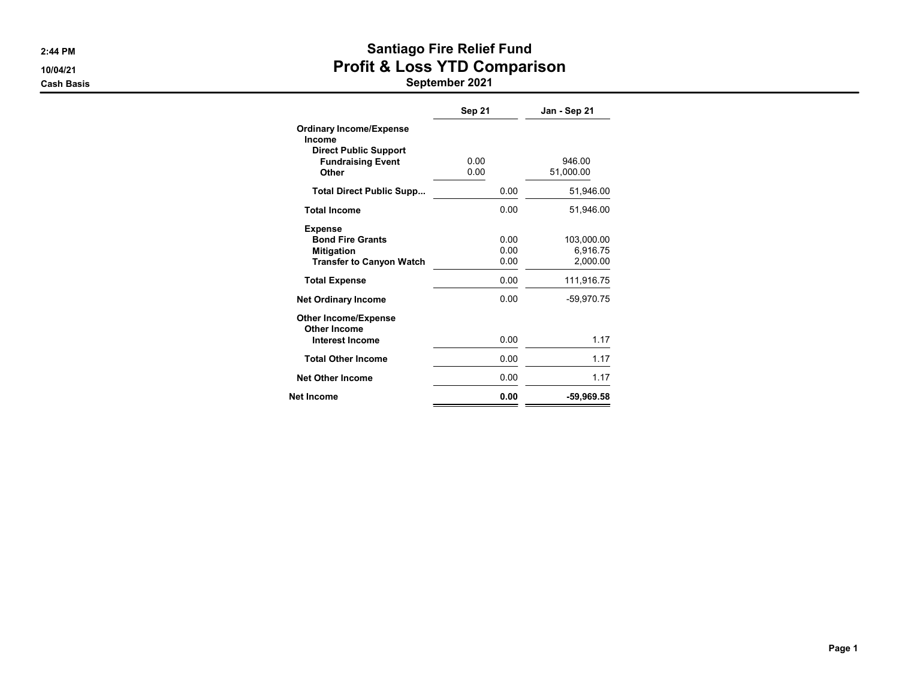# 2:44 PM **Santiago Fire Relief Fund** 10/04/21 **Profit & Loss YTD Comparison**

|                                                                                                      | <b>Sep 21</b>        | Jan - Sep 21                       |
|------------------------------------------------------------------------------------------------------|----------------------|------------------------------------|
| <b>Ordinary Income/Expense</b><br>Income<br><b>Direct Public Support</b><br><b>Fundraising Event</b> | 0.00                 | 946.00                             |
| Other                                                                                                | 0.00                 | 51,000.00                          |
| <b>Total Direct Public Supp</b>                                                                      | 0.00                 | 51,946.00                          |
| <b>Total Income</b>                                                                                  | 0.00                 | 51.946.00                          |
| <b>Expense</b><br><b>Bond Fire Grants</b><br><b>Mitigation</b><br><b>Transfer to Canyon Watch</b>    | 0.00<br>0.00<br>0.00 | 103,000.00<br>6,916.75<br>2,000.00 |
| <b>Total Expense</b>                                                                                 | 0.00                 | 111,916.75                         |
| <b>Net Ordinary Income</b>                                                                           | 0.00                 | -59.970.75                         |
| <b>Other Income/Expense</b><br><b>Other Income</b><br><b>Interest Income</b>                         | 0.00                 | 1.17                               |
| <b>Total Other Income</b>                                                                            | 0.00                 | 1.17                               |
| <b>Net Other Income</b>                                                                              | 0.00                 | 1.17                               |
| Net Income                                                                                           | 0.00                 | -59,969.58                         |